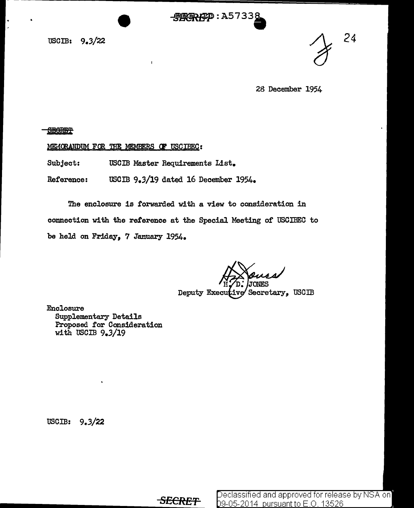- 吸取取ARP : A57338

usom: 9.3/22

*24* 

28 December 1954

**SEGRET** 

MEMORANDUM FOR THE MEMBERS OF USCIBEC:

Subject: USCIB Master Requirements List.

Reference: USCIB 9.3/19 dated 16 December 1954.

 $\mathbf{I}$ 

The enclosure is forwarded with a view to consideration in connection with the reference at the Special Meeting of USCIBEC to be held on Friday, 7 January 1954.

Deputy Executive Secretary, USCIB

Enclosure Supplementary Details Proposed for Consideration with USCIB  $9.3/19$ 

USCIB:  $9.3/22$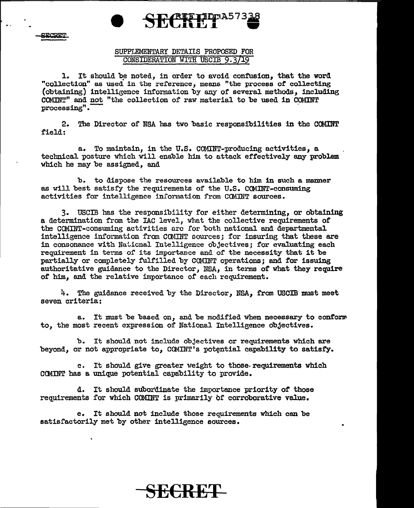<u>תהמישים</u>

## SUPPLEMEMTARY DETAIIS PROPOSED FOR CONSIDERATION WITH USCIB 9.3/19

SECRET PASSE

1. It should be noted, in order to avoid confusion, that the word "collection" as used in the rei'erence, means "the process *ot* collecting (obtaining) intelligence information by any of several methods, including COMmT" and not "the collection of raw material to be used in COMINT  $processing".$ 

2. The Director of NSA has two basic responsibilities in the COMINT field:

a. To maintain, in the U.S. COMINT-producing activities, a tecbnical posture which Will enable him to attack effectively any problem which he may be assigned, and

b. to dispose the resources available to him in such a manner as will best satisfy the requirements of the U.S. CCMINT-consuming activities for intelligence information from COMINT sources.

3. USCIB has the responsibility for either determining, or obtaining a determination from the IAC level, what the collective requirements of the COMINT-consuming activities are for both national and departmental intelligence information from COMINT sources; for insuring that these are in consonance with Naticnal Intelligence objectives; for evaluating each requirement in tenns of its importance and of the necessity that it be partially or completely fulfilled by COMINT operations; and for issuing authoritative guidance to the Director, NSA, in terms of what they require of him, and the relative importance or each requirement.

4. The guidance received by the Director, NSA, from USCIB must meet seven criteria:

a. It must be based on, and be modified when necessary to conform to, the most recent expression of National Intellisence objectives.

b. It should not include objectives or requirements which are beyond, or not appropriate to, COMINT's potential capability to satisfy.

c. It should give greater weight to those.requirements which CCMINT has a unique potential capability to provide.

d. It should subordinate the importance priority or those requirements for which CC»fINT is primarily or corroborative value.

e. It should not include those requirements which can be satisfactorily met by other intelligence sources.

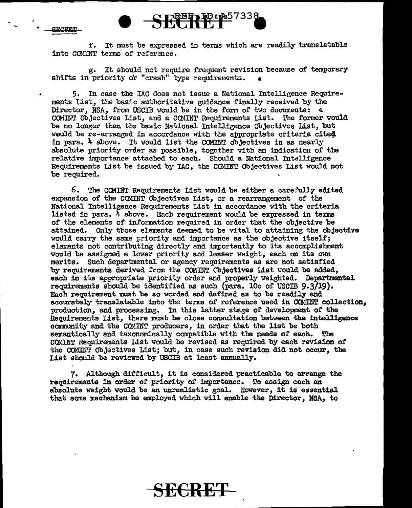**graper** 

..



g. It should not require frequent revision because of temporary shifts in priority or "crash" type requirements.

5. In case the IAC does not issue a National Intelligence Requirements List, the basic authoritative guidance finally received by the Director, NSA, from USCIB would be in the form of two documents: a. COMINT Objectives List, and a COMINT Requirements List. The former would be no longer than the basic National Intelligence Objectives List, but would be re-arranged in accordance with the appropriate criteria cited in para. 4 above. It would list the COMINT objectives in as nearly absolute priority order as possible, together with an indication or the relative importance attached to each. Should a National Intelligence Requirements List be issued by IAC, the COMINT Objectives List would not be required.

6. The CCMINT Requirements List would be either a carefully edited expansion of the COMlliT Objectives List, or a rearrangement of the National Intelligence Requirements List in accordance with the criteria listed in para.  $4$  above. Each requirement would be expressed in terms or the elements of information required in order that the objective be attained. Only those elements deemed to be vital to attaining the objective would carry the same priority and importance as the objective itself; elements not contributing directly and importantly to its accomplishment would be assigned a lower priority and lesser weight, each on its own merits. such departmental or agency requirements as *are* not satisfied by requirements derived from the COMINT Objectives List would be added, each in its appropriate priority order and properly weighted. Departmental requirements should be identified as such (para. lOc of USCIB 9.3/19). Each requirement must be so worded and defined as to be readily and accurately translatable into the terms of reference used in COMINT collection, production, and processing. In this latter stage of development of the Requirements List, there must be close consultation between the intelligence community and the COMINT producers, in order that the list be both semantically and taxonomically compatible with the needs of each. The COMINT Requirements List would be revised as required by each revision of' the COMmT Objectives List; but, in case such revision did not occur, the List should be reviewed by USCIB at least annually.

7. Although difficult, it is considered practicable to arrange the requirements in order of priority of importance. To assign each an absolute weight would be an unrealistic goal. However, it is essential that some mechanism be employed which will enable the Director, NSA, to

S<del>ECKE'</del>f